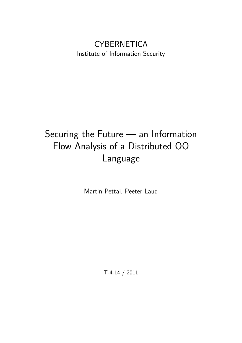## **CYBERNETICA** Institute of Information Security

# Securing the Future — an Information Flow Analysis of a Distributed OO Language

Martin Pettai, Peeter Laud

T-4-14 / 2011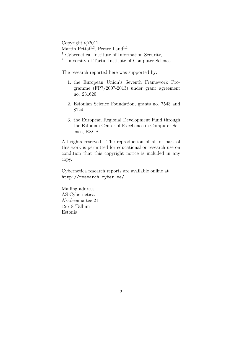Copyright  $\odot$ 2011 Martin Pettai<sup>1,2</sup>, Peeter Laud<sup>1,2</sup>. <sup>1</sup> Cybernetica, Institute of Information Security, <sup>2</sup> University of Tartu, Institute of Computer Science

The research reported here was supported by:

- 1. the European Union's Seventh Framework Programme (FP7/2007-2013) under grant agreement no. 231620,
- 2. Estonian Science Foundation, grants no. 7543 and 8124,
- 3. the European Regional Development Fund through the Estonian Center of Excellence in Computer Science, EXCS

All rights reserved. The reproduction of all or part of this work is permitted for educational or research use on condition that this copyright notice is included in any copy.

Cybernetica research reports are available online at http://research.cyber.ee/

Mailing address: AS Cybernetica Akadeemia tee 21 12618 Tallinn Estonia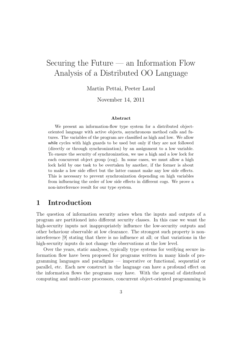## Securing the Future — an Information Flow Analysis of a Distributed OO Language

Martin Pettai, Peeter Laud

November 14, 2011

#### Abstract

We present an information-flow type system for a distributed objectoriented language with active objects, asynchronous method calls and futures. The variables of the program are classified as high and low. We allow while cycles with high guards to be used but only if they are not followed (directly or through synchronization) by an assignment to a low variable. To ensure the security of synchronization, we use a high and a low lock for each concurrent object group (cog). In some cases, we must allow a high lock held by one task to be overtaken by another, if the former is about to make a low side effect but the latter cannot make any low side effects. This is necessary to prevent synchronization depending on high variables from influencing the order of low side effects in different cogs. We prove a non-interference result for our type system.

## 1 Introduction

The question of information security arises when the inputs and outputs of a program are partitioned into different security classes. In this case we want the high-security inputs not inappropriately influence the low-security outputs and other behaviour observable at low clearance. The strongest such property is noninterference [9] stating that there is no influence at all; or that variations in the high-security inputs do not change the observations at the low level.

Over the years, static analyses, typically type systems for verifying secure information flow have been proposed for programs written in many kinds of programming languages and paradigms — imperative or functional, sequential or parallel, etc. Each new construct in the language can have a profound effect on the information flows the programs may have. With the spread of distributed computing and multi-core processors, concurrent object-oriented programming is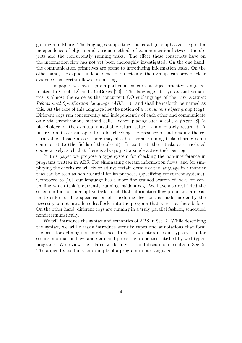gaining mindshare. The languages supporting this paradigm emphasize the greater independence of objects and various methods of communication between the objects and the concurrently running tasks. The effect these constructs have on the information flow has not yet been thoroughly investigated. On the one hand, the communication primitives are prone to introducing information leaks. On the other hand, the explicit independence of objects and their groups can provide clear evidence that certain flows are missing.

In this paper, we investigate a particular concurrent object-oriented language, related to Creol [12] and JCoBoxes [20]. The language, its syntax and semantics is almost the same as the concurrent OO sublanguage of the core Abstract Behavioural Specification Language (ABS) [10] and shall henceforth be named as this. At the core of this language lies the notion of a concurrent object group (cog). Different cogs run concurrently and independently of each other and communicate only via asynchronous method calls. When placing such a call, a *future*  $|8|$  (a placeholder for the eventually available return value) is immediately returned. A future admits certain operations for checking the presence of and reading the return value. Inside a cog, there may also be several running tasks sharing some common state (the fields of the object). In contrast, these tasks are scheduled cooperatively, such that there is always just a single active task per cog.

In this paper we propose a type system for checking the non-interference in programs written in ABS. For eliminating certain information flows, and for simplifying the checks we will fix or adjust certain details of the language in a manner that can be seen as non-essential for its purposes (specifying concurrent systems). Compared to [10], our language has a more fine-grained system of locks for controlling which task is currently running inside a cog. We have also restricted the scheduler for non-preemptive tasks, such that information flow properties are easier to enforce. The specification of scheduling decisions is made harder by the necessity to not introduce deadlocks into the program that were not there before. On the other hand, different cogs are running in a truly parallel fashion, scheduled nondeterministically.

We will introduce the syntax and semantics of ABS in Sec. 2. While describing the syntax, we will already introduce security types and annotations that form the basis for defining non-interference. In Sec. 3 we introduce our type system for secure information flow, and state and prove the properties satisfied by well-typed programs. We review the related work in Sec. 4 and discuss our results in Sec. 5. The appendix contains an example of a program in our language.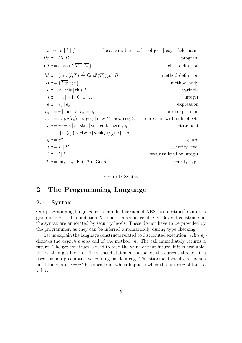$x | n | o | b | f$  local variable | task | object | cog | field name  $Pr ::= \overline{Cl} \ B$  program  $Cl ::= \text{class } C\{\overline{T} f \ \overline{M}\}\$  class definition  $M ::= (m: (l, \overline{T}) \stackrel{l[, i]}{\to} \mathsf{Cmd}^l$ method definition  $B ::= \{Tx \ s; x\}$  method body  $v ::= x | \text{this} | \text{this}.f$  variable  $i ::= ... | -1 | 0 | 1 | ...$  integer  $e ::= e_n | e_s$  expression  $e_p ::= v \mid \text{null} \mid i \mid e_p = e_p$  pure expression  $e_s ::= e_p!_lm(\overline{e_p}) | e_p \text{.get}_l | \text{ new } C | \text{ new cog } C$ expression with side effects  $s ::= v := e | e |$ skip | suspend<sub>l</sub> | await<sub>l</sub> g statement | if  $(e_p)$  s else s | while<sub>l</sub>  $(e_p)$  s | s; s  $g ::= v$ ? guard  $l ::= L | H$  security level  $\ell ::= l | i$  security level or integer  $T::=\mathsf{Int}_l \mid C_l \mid \mathsf{Fut}_l^{\ell}(T) \mid \mathsf{Guard}_l^{\ell}$ security type

Figure 1: Syntax

## 2 The Programming Language

#### 2.1 Syntax

Our programming language is a simplified version of ABS. Its (abstract) syntax is given in Fig. 1. The notation  $\overline{X}$  denotes a sequence of X-s. Several constructs in the syntax are annotated by security levels. These do not have to be provided by the programmer, as they can be inferred automatically during type checking.

Let us explain the language constructs related to distributed execution.  $e_p!m(\overline{e_p})$ denotes the asynchronous call of the method m. The call immediately returns a future. The get-construct is used to read the value of that future, if it is available. If not, then get blocks. The suspend-statement suspends the current thread, it is used for non-preemptive scheduling inside a cog. The statement await  $g$  suspends until the guard  $g = v$ ? becomes true, which happens when the future v obtains a value.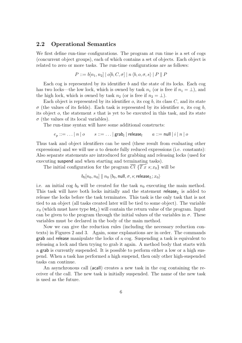#### 2.2 Operational Semantics

We first define run-time configurations. The program at run time is a set of cogs (concurrent object groups), each of which contains a set of objects. Each object is related to zero or more tasks. The run-time configurations are as follows:

$$
P ::= b[n_1, n_2] | o[b, C, \sigma] | n \langle b, o, \sigma, s \rangle | P || P
$$

Each cog is represented by its identifier  $b$  and the state of its locks. Each cog has two locks—the low lock, which is owned by task  $n_1$  (or is free if  $n_1 = \perp$ ), and the high lock, which is owned by task  $n_2$  (or is free if  $n_2 = \perp$ ).

Each object is represented by its identifier  $o$ , its cog  $b$ , its class  $C$ , and its state  $\sigma$  (the values of its fields). Each task is represented by its identifier n, its cog b, its object o, the statement s that is yet to be executed in this task, and its state  $\sigma$  (the values of its local variables).

The run-time syntax will have some additional constructs:

$$
e_p ::= \dots |n|o \qquad s ::= \dots | \text{ grab}_l | \text{ release}_l \qquad a ::= \text{null} |i|n|o
$$

Thus task and object identifiers can be used (these result from evaluating other expressions) and we will use  $a$  to denote fully reduced expressions (i.e. constants): Also separate statements are introduced for grabbing and releasing locks (used for executing suspend and when starting and terminating tasks).

The initial configuration for the program  $\overline{Cl}$   $\{\overline{T} x \ s; x_0\}$  will be

$$
b_0[n_0, n_0] \parallel n_0 \langle b_0, \text{null}, \sigma, s; \text{release}_L; x_0 \rangle
$$

i.e. an initial cog  $b_0$  will be created for the task  $n_0$  executing the main method. This task will have both locks initially and the statement  $\mathsf{release}_L$  is added to release the locks before the task terminates. This task is the only task that is not tied to an object (all tasks created later will be tied to some object). The variable  $x_0$  (which must have type  $\mathsf{Int}_L$ ) will contain the return value of the program. Input can be given to the program through the initial values of the variables in  $\sigma$ . These variables must be declared in the body of the main method.

Now we can give the reduction rules (including the necessary reduction contexts) in Figures 2 and 3. Again, some explanations are in order. The commands grab and release manipulate the locks of a cog. Suspending a task is equivalent to releasing a lock and then trying to grab it again. A method body that starts with a grab is currently suspended. It is possible to perform either a low or a high suspend. When a task has performed a high suspend, then only other high-suspended tasks can continue.

An asynchronous call (acall) creates a new task in the cog containing the receiver of the call. The new task is initially suspended. The name of the new task is used as the future.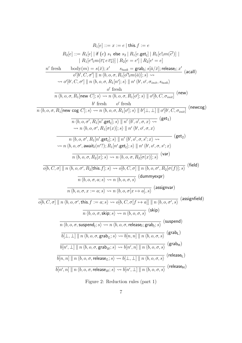$$
R_1[e] ::= x := e | this.f := e
$$
\n
$$
R_2[e] ::= R_1[e] | \text{ if } (e) s_1 \text{ else } s_2 | R_1[e, \text{get}_1 | R_1[e, m(e')] |
$$
\n
$$
| R_1[e'|, m(\overline{e_1} e \overline{e_2})] | R_2[e = e'] | R_2[e' = e]
$$
\n
$$
n' \text{ fresh} \text{body}(m) = s(\overline{x}); x' \text{ s}_{task} = \text{graph}_i; s[\overline{a}|\overline{x}]; \text{release}; x' \text{ (acall)}
$$
\n
$$
\sigma'[b', C, \sigma'] || n (b, o, \sigma, R_1[\sigma'], s) || n' (b', \sigma', \sigma_{init}, s_{task})
$$
\n
$$
\sigma'[s, \sigma', \overline{m} || n (b, o, \sigma, R_1[\sigma'], s) || n' (b', \sigma', \sigma_{init}, s_{task})]
$$
\n
$$
\sigma'
$$
\n
$$
\frac{\sigma}{n (b, o, \sigma, R_1[\text{new } C]; s) \rightsquigarrow n (b, o, \sigma, R_1[\sigma'], s) || \sigma'[b, C, \sigma_{init}]} \text{ (new)}
$$
\n
$$
\frac{\sigma}{n (b, o, \sigma', R_1[\overline{n}', \text{get}_i]; s) || n' (b', \sigma', \sigma, x) \rightsquigarrow (e^{e_{1}})}
$$
\n
$$
\frac{\sigma}{n (b, o, \sigma', R_1[\overline{n}', \text{get}_i]; s) || n' (b', \sigma', \sigma, x) \rightsquigarrow (e^{e_{1}})}
$$
\n
$$
\frac{\sigma}{n (b, o, \sigma', R_1[\overline{n}', \text{get}_i]; s) || n' (b', \sigma', \sigma, s'; x) \rightsquigarrow n (b, o, \sigma, R_2[\sigma]; s) || n' (b', \sigma', \sigma, s'; x) \nonumber
$$
\n
$$
\frac{\sigma}{n (b, o, \sigma', R_2[x]; s) \rightsquigarrow n (b, o, \sigma, R_2[\sigma(x)]; s) (s^{o_{1}}] \text{ (b)} \text{ (d)} \text{ (d)} \text{ (e)} \text{ (e)} \text{ (e)} \text{ (e)} \text{ (e)} \text{ (e)} \text{ (e)} \text{ (e
$$

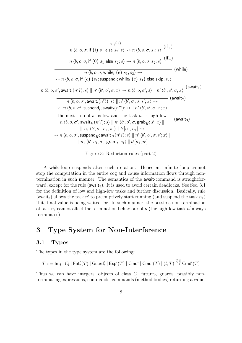$$
\frac{i \neq 0}{n \langle b, o, \sigma, \text{if } (i) \ s_1 \text{ else } s_2; s \rangle \rightsquigarrow n \langle b, o, \sigma, s_1; s \rangle} \text{ (if.)}
$$
\n
$$
\frac{n \langle b, o, \sigma, \text{if } (0) \ s_1 \text{ else } s_2; s \rangle \rightsquigarrow n \langle b, o, \sigma, s_2; s \rangle} \text{ (if.)}
$$
\n
$$
\frac{n \langle b, o, \sigma, \text{if } (e) \ s_1 \text{ suspend}_i; \text{while } (e) \ s_1 \rangle \rightsquigarrow} \text{ (while)}
$$
\n
$$
\frac{n \langle b, o, \sigma, \text{if } (e) \ (s_1; \text{suspend}_i; \text{while } (e) \ s_1 \rangle \text{ else skip}; s_2 \rangle}{n \langle b, o, \sigma', \text{await}_l(n''); s \rangle \parallel n' \langle b', o', \sigma, x \rangle \rightsquigarrow n \langle b, o, \sigma', s \rangle \parallel n' \langle b', o', \sigma, x \rangle} \text{ (await.)}
$$
\n
$$
\frac{n \langle b, o, \sigma', \text{await}_l(n''); s \rangle \parallel n' \langle b', o', \sigma, s'; x \rangle \rightsquigarrow} \text{ (await.)}
$$
\n
$$
\frac{n \langle b, o, \sigma', \text{suspend}_l; \text{await}_l(n''); s \rangle \parallel n' \langle b', o', \sigma, s'; x \rangle} \text{ the next step of } s_1 \text{ is low and the task } n' \text{ is high-low} \quad n \langle b, o, \sigma', \text{await}_l(n''); s \rangle \parallel n' \langle b', \sigma', \sigma, \text{graph}_l; s'; x \rangle \parallel} \text{ (await.)}
$$
\n
$$
\frac{n \langle b, o, \sigma', \text{susped}_l; \text{await}_l(n''); s \rangle \parallel n' \langle b', \sigma', \sigma, s'; x \rangle \parallel} \text{ [x_1, n']}
$$

Figure 3: Reduction rules (part 2)

A while-loop suspends after each iteration. Hence an infinite loop cannot stop the computation in the entire cog and cause information flows through nontermination in such manner. The semantics of the await-command is straightforward, except for the rule (await<sub>3</sub>). It is used to avoid certain deadlocks. See Sec.  $3.1$ for the definition of low and high-low tasks and further discussion. Basically, rule (await<sub>3</sub>) allows the task  $n'$  to preemptively start running (and suspend the task  $n_1$ ) if its final value is being waited for. In such manner, the possible non-termination of task  $n_1$  cannot affect the termination behaviour of n (the high-low task  $n'$  always terminates).

## 3 Type System for Non-Interference

#### 3.1 Types

The types in the type system are the following:

$$
T ::= \mathsf{Int}_l \mid C_l \mid \mathsf{Fut}_l^{\ell}(T) \mid \mathsf{Guard}_l^{\ell} \mid \mathsf{Exp}^l(T) \mid \mathsf{Cmd}^l \mid \mathsf{Cmd}^l(T) \mid (l, \overline{T}) \stackrel{l[, i]}{\rightarrow} \mathsf{Cmd}^l(T)
$$

Thus we can have integers, objects of class  $C$ , futures, guards, possibly nonterminating expressions, commands, commands (method bodies) returning a value,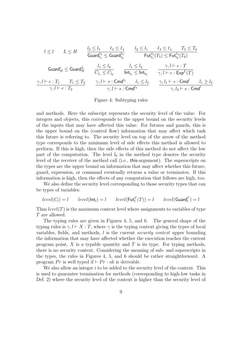$$
l \leq l \qquad L \leq H \qquad \frac{l_2 \leq l_1 \qquad \ell_3 \leq \ell_4}{\text{Guard}_{l_1}^{\ell_3} \leq \text{Guard}_{l_2}^{\ell_4}} \qquad \frac{l_2 \leq l_1 \qquad \ell_3 \leq \ell_4 \qquad T_5 \leq T_6}{\text{Fut}_{l_1}^{\ell_3}(T_5) \leq \text{Fut}_{l_2}^{\ell_4}(T_6)} \qquad \qquad \newline \text{Guard}_H^i \leq \text{Guard}_H^L \qquad \frac{l_1 \leq l_2}{C_{l_1} \leq C_{l_2}} \qquad \frac{l_1 \leq l_2}{\text{Int}_{l_1} \leq \text{Int}_{l_2}} \qquad \frac{\gamma, l \vdash e : T}{\gamma, l \vdash e : \text{Exp}^L(T)} \qquad \qquad \newline \frac{\gamma, l \vdash e : T_1 \qquad T_1 \leq T_2}{\gamma, l \vdash e : T_2} \qquad \frac{\gamma, l \vdash s : \text{cmd}^{l_1} \qquad l_1 \leq l_2}{\gamma, l \vdash s : \text{cmd}^{l_2}} \qquad \frac{\gamma, l_1 \vdash s : \text{cmd}^{l} \qquad l_1 \geq l_2}{\gamma, l_2 \vdash s : \text{cmd}^{l_1}}
$$

Figure 4: Subtyping rules

and methods. Here the subscript represents the security level of the value. For integers and objects, this corresponds to the upper bound on the security levels of the inputs that may have affected this value. For futures and guards, this is the upper bound on the (control flow) information that may affect which task this future is referring to. The security level on top of the arrow of the method type corresponds to the minimum level of side effects this method is allowed to perform. If this is high, then the side effects of this method do not affect the low part of the computation. The level  $l_0$  in the method type denotes the security level of the receiver of the method call (i.e., this-argument). The superscripts on the types are the upper bound on information that may affect whether this future, guard, expression, or command eventually returns a value or terminates. If this information is high, then the effects of any computation that follows are high, too.

We also define the security level corresponding to those security types that can be types of variables:

$$
level(C_l) = l \qquad level(\mathsf{Int}_l) = l \qquad level(\mathsf{Fut}_l^{\ell'}(T)) = l \qquad level(\mathsf{Guard}_l^{\ell'}) = l
$$

Thus  $level(T)$  is the maximum context level where assignments to variables of type T are allowed.

The typing rules are given in Figures 4, 5, and 6. The general shape of the typing rules is  $\gamma, l \vdash X : T$ , where  $\gamma$  is the typing context giving the types of local variables, fields, and methods, l is the current security context upper bounding the information that may have affected whether the execution reaches the current program point,  $X$  is a typable quantity and  $T$  is its type. For typing methods, there is no security context. Considering the meaning of sub- and superscripts in the types, the rules in Figures 4, 5, and 6 should be rather straightforward. A program Pr is well typed if  $\vdash Pr : ok$  is derivable.

We also allow an integer  $i$  to be added to the security level of the context. This is used to guarantee termination for methods (corresponding to high-low tasks in Def. 2) where the security level of the context is higher than the security level of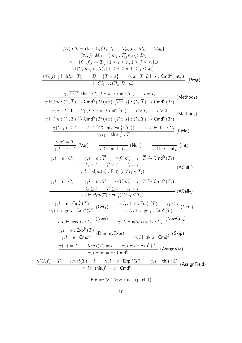$$
(\forall i) \ CI_i = \text{class } C_i \{ T_{i1} f_{i1} \dots T_{ir_i} f_{ir_i} M_{i1} \dots M_{ik_i} \}
$$

$$
(\forall i, j) \ M_{ij} = (m_{ij} : T'_{ij})(\overline{x_{ij}}) B_{ij}
$$

$$
\gamma = \{ C_i . f_{ij} \mapsto T_{ij} \mid 1 \le i \le n, 1 \le j \le r_i \} \cup
$$

$$
\bigcup \{ C_i . m_{ij} \mapsto T'_{ij} \mid 1 \le i \le n, 1 \le j \le k_i \}
$$

$$
(\forall i, j) \ \gamma \vdash M_{ij} : T'_{ij} \qquad B = \{ \overline{T} \ x \ s \} \qquad \gamma, \overline{x : T}, L \vdash s : \mathsf{Cmd}^L(\mathsf{Int}_L) \qquad \qquad \vdash Cl_1 \dots Cl_n \ B : ok \qquad (\mathsf{Prog})
$$

$$
\frac{\gamma_{i} \overline{x}:T, \text{ this}: C_{l_{0}}, l \vdash s: \text{Cmd}^{l_{1}}(T') \quad l = l_{1}}{\gamma \vdash (m:(l_{0},\overline{T}) \xrightarrow{l} \text{Cmd}^{l_{1}}(T'))(\overline{x}) \{\overline{T}\overline{x} s\} : (l_{0},\overline{T}) \xrightarrow{l} \text{Cmd}^{l_{1}}(T') \quad (\text{Method}_{1})
$$
\n
$$
\frac{\gamma_{i} \overline{x}:T, \text{ this}: C_{l_{0}}, l, i \vdash s: \text{Cmd}^{l_{1}}(T') \quad l > l_{1} \quad i > 0}{\gamma \vdash (m:(l_{0},\overline{T}) \xrightarrow{l} \text{Cmd}^{l_{1}}(T'))(\overline{x}) \{\overline{T}\overline{x} s\} : (l_{0},\overline{T}) \xrightarrow{l} \text{Cmd}^{l_{1}}(T') \quad (\text{Method}_{2})
$$
\n
$$
\frac{\gamma(C.f) \leq T \quad T \in \{C'_{l}, \text{Int}_{l}, \text{Fut}_{l}^{l_{1}}(T')\} \quad \gamma, l_{2} \vdash \text{this}: C_{l} \quad (\text{Field})}{\gamma, l \vdash \text{this}: T} \quad \frac{\gamma(x) = T}{\gamma, l \vdash x: T} \quad (\text{Var}) \quad \frac{\gamma}{\gamma, l \vdash \text{null}: C_{L}} \quad (\text{Null}) \quad \frac{\gamma}{\gamma, l \vdash i: \text{Int}_{L}} \quad (\text{Int})
$$
\n
$$
\gamma, l \vdash e: C_{l_{0}} \quad \gamma, l \vdash \overline{e}: \overline{T} \quad \gamma(C.m) = l_{0}, \overline{T} \xrightarrow{l} \text{Cmd}^{l_{1}}(T_{2})
$$
\n
$$
\frac{l_{0} \geq l \quad \overline{T} \geq l \quad l_{1} = l}{\gamma, l \vdash el m(\overline{e}): \text{Fut}_{l}^{l_{1}}(l \vee l_{1} \vee T_{2})} \quad (\text{ACall}_{1})
$$
\n
$$
\frac{l_{0} \geq l \quad \overline{T} \geq l \quad l_{1} < l}{\gamma, l \vdash el m(\overline{e}): \text{Fut}_{l}^{l_{1}}(l \vee l_{1} \vee
$$

Figure 5: Type rules (part 1)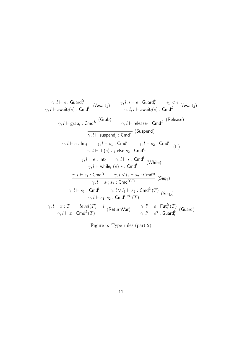$$
\frac{\gamma, l \vdash e : \text{Guard}_l^{l_1}}{\gamma, l \vdash \text{await}_l(e) : \text{cmd}^{l_1}} \quad (\text{Await}_1) \qquad \frac{\gamma, l, i \vdash e : \text{Guard}_l^{i_1} \qquad i_1 < i}{\gamma, l, i \vdash \text{await}_l(e) : \text{cmd}^{L}} \quad (\text{Avait}_2)
$$
\n
$$
\frac{\gamma, l \vdash \text{gravat}_l(e) : \text{cmd}^{L}}{\gamma, l \vdash \text{such}_l : \text{cmd}^{L}} \quad (\text{Grab}) \qquad \frac{\gamma, l \vdash \text{reward}_l \qquad \gamma, l \vdash \text{reward}_l}{\gamma, l \vdash \text{suspend}_l : \text{cmd}^{L}} \quad (\text{Release})
$$
\n
$$
\frac{\gamma, l \vdash e : \text{Int}_l \qquad \gamma, l \vdash s_1 : \text{cmd}^{l_1} \qquad \gamma, l \vdash s_2 : \text{cmd}^{l_1}}{\gamma, l \vdash f(e) s_1 \text{ else } s_2 : \text{cmd}^{l_1}} \quad (\text{If})
$$
\n
$$
\frac{\gamma, l \vdash e : \text{Int}_l \qquad \gamma, l \vdash s : \text{cmd}^{l_1}}{\gamma, l \vdash \text{while}_l(e) s : \text{cmd}^{l_1}} \quad (\text{While})
$$
\n
$$
\frac{\gamma, l \vdash s_1 : \text{cmd}^{l_1} \qquad \gamma, l \lor l_1 \vdash s_2 : \text{cmd}^{l_2}}{\gamma, l \vdash s_1; s_2 : \text{cmd}^{l_1 \lor l_2}} \quad (\text{Seq}_1)
$$
\n
$$
\frac{\gamma, l \vdash s_1 : \text{cmd}^{l_1} \qquad \gamma, l \lor l_1 \vdash s_2 : \text{cmd}^{l_2}(T)}{\gamma, l \vdash s_1; s_2 : \text{cmd}^{l_1 \lor l_2}(T)} \quad (\text{Seq}_2)
$$
\n
$$
\frac{\gamma, l \vdash x : T \quad level(T) = l}{\gamma, l \vdash x : \text{cmd}^{L}(T)} \quad (\text{ReturnVar}) \qquad \frac{\gamma, l' \vdash e : \text{Fut}_l^{l_1}(T)}{\gamma, l \vdash x : \text{Card}^{
$$

Figure 6: Type rules (part 2)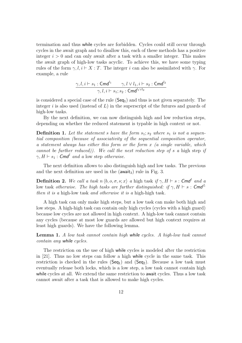termination and thus while cycles are forbidden. Cycles could still occur through cycles in the await graph and to disallow this, each of these methods has a positive integer  $i > 0$  and can only await after a task with a smaller integer. This makes the await graph of high-low tasks acyclic. To achieve this, we have some typing rules of the form  $\gamma, l, i \vdash X : T$ . The integer i can also be assimilated with  $\gamma$ . For example, a rule

$$
\frac{\gamma, l, i \vdash s_1 : \mathsf{Cmd}^{l_1} \qquad \gamma, l \vee l_1, i \vdash s_2 : \mathsf{Cmd}^{l_2}}{\gamma, l, i \vdash s_1; s_2 : \mathsf{Cmd}^{l_1 \vee l_2}}
$$

is considered a special case of the rule  $(\mathsf{Seq}_1)$  and thus is not given separately. The integer i is also used (instead of  $L$ ) in the superscript of the futures and guards of high-low tasks.

By the next definition, we can now distinguish high and low reduction steps, depending on whether the reduced statement is typable in high context or not.

**Definition 1.** Let the statement s have the form  $s_1$ ;  $s_2$  where  $s_1$  is not a sequential composition (because of associativity of the sequential composition operator, a statement always has either this form or the form x (a single variable, which cannot be further reduced)). We call the next reduction step of s a high step if  $\gamma, H \vdash s_1 : \mathsf{Cmd}^l$  and a low step otherwise.

The next definition allows to also distinguish high and low tasks. The previous and the next definition are used in the (await<sub>3</sub>) rule in Fig. 3.

**Definition 2.** We call a task  $n \langle b, o, \sigma, s; x \rangle$  a high task if  $\gamma, H \vdash s$ : Cmd<sup>l</sup> and a low task otherwise. The high tasks are further distinguished: if  $\gamma$ ,  $H \vdash s : \mathsf{Cmd}^L$ then it is a high-low task and otherwise it is a high-high task.

A high task can only make high steps, but a low task can make both high and low steps. A high-high task can contain only high cycles (cycles with a high guard) because low cycles are not allowed in high context. A high-low task cannot contain any cycles (because at most low guards are allowed but high context requires at least high guards). We have the following lemma.

**Lemma 1.** A low task cannot contain high while cycles. A high-low task cannot contain any while cycles.

The restriction on the use of high while cycles is modeled after the restriction in [21]. Thus no low steps can follow a high while cycle in the same task. This restriction is checked in the rules  $(\text{Seq}_1)$  and  $(\text{Seq}_2)$ . Because a low task must eventually release both locks, which is a low step, a low task cannot contain high while cycles at all. We extend the same restriction to await cycles. Thus a low task cannot await after a task that is allowed to make high cycles.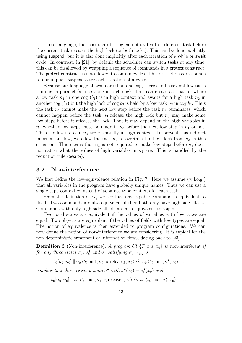In our language, the scheduler of a cog cannot switch to a different task before the current task releases the high lock (or both locks). This can be done explicitly using suspend, but it is also done implicitly after each iteration of a while or await cycle. In contrast, in [21], by default the scheduler can switch tasks at any time, this can be disallowed by wrapping a sequence of commands in a protect construct. The protect construct is not allowed to contain cycles. This restriction corresponds to our implicit suspend after each iteration of a cycle.

Because our language allows more than one cog, there can be several low tasks running in parallel (at most one in each cog). This can create a situation where a low task  $n_1$  in one cog  $(b_1)$  is in high context and awaits for a high task  $n_2$  in another cog  $(b_2)$  but the high lock of cog  $b_2$  is held by a low task  $n_3$  in cog  $b_2$ . Thus the task  $n_1$  cannot make the next low step before the task  $n_2$  terminates, which cannot happen before the task  $n_3$  release the high lock but  $n_3$  may make some low steps before it releases the lock. Thus it may depend on the high variables in  $n_1$  whether low steps must be made in  $n_3$  before the next low step in  $n_1$  or not. Thus the low steps in  $n_3$  are essentially in high context. To prevent this indirect information flow, we allow the task  $n_2$  to overtake the high lock from  $n_3$  in this situation. This means that  $n_3$  is not required to make low steps before  $n_1$  does, no matter what the values of high variables in  $n_1$  are. This is handled by the reduction rule (await<sub>3</sub>).

#### 3.2 Non-interference

We first define the low-equivalence relation in Fig. 7. Here we assume (w.l.o.g.) that all variables in the program have globally unique names. Thus we can use a single type context  $\gamma$  instead of separate type contexts for each task.

From the definition of  $\sim_\gamma$  we see that any typable command is equivalent to itself. Two commands are also equivalent if they both only have high side-effects. Commands with only high side-effects are also equivalent to skip-s.

Two local states are equivalent if the values of variables with low types are equal. Two objects are equivalent if the values of fields with low types are equal. The notion of equivalence is then extended to program configurations. We can now define the notion of non-interference we are considering. It is typical for the non-deterministic treatment of information flows, dating back to [23].

**Definition 3** (Non-interference). A program  $\overline{Cl}$  { $\overline{T} \overline{x}$  s;  $x_0$ } is non-interferent if for any three states  $\sigma_0$ ,  $\sigma_0^{\bullet}$  and  $\sigma_1$  satisfying  $\sigma_0 \sim_{\overline{x:T}} \sigma_1$ ,

 $b_0[n_0,n_0]\parallel n_0\,\langle b_0, {\mathsf{null}}, \sigma_0, s;$  release $_L; x_0\rangle \overset{*}{\leadsto} n_0\,\langle b_0, {\mathsf{null}}, \sigma_0^\bullet, x_0\rangle\parallel \ldots$ 

implies that there exists a state  $\sigma_1^{\bullet}$  with  $\sigma_1^{\bullet}(x_0) = \sigma_0^{\bullet}(x_0)$  and

 $b_0[n_0,n_0]\parallel n_0\,\langle b_0,\textsf{null},\sigma_1,s;\textsf{release}_L; x_0\rangle \overset{*}{\leadsto} n_0\,\langle b_0,\textsf{null},\sigma_1^\bullet,x_0\rangle\parallel\ldots$  .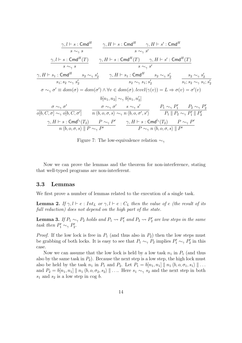$$
\frac{\gamma, l \vdash s: \mathsf{Cmd}^H}{s \sim_\gamma s} \qquad \frac{\gamma, H \vdash s: \mathsf{Cmd}^H \qquad \gamma, H \vdash s': \mathsf{Cmd}^H}{s \sim_\gamma s'}
$$
\n
$$
\frac{\gamma, l \vdash s: \mathsf{Cmd}^H(T)}{s \sim_\gamma s} \qquad \frac{\gamma, H \vdash s: \mathsf{Cmd}^H(T) \qquad \gamma, H \vdash s': \mathsf{Cmd}^H(T)}{s \sim_\gamma s'}
$$
\n
$$
\frac{\gamma, H \vdash s_1: \mathsf{Cmd}^H \qquad s_2 \sim_\gamma s'_2}{s_1; s_2 \sim_\gamma s'_2} \qquad \frac{\gamma, H \vdash s_1: \mathsf{Cmd}^H \qquad s_2 \sim_\gamma s'_2}{s_2 \sim_\gamma s_1; s'_2} \qquad \frac{s_2 \sim_\gamma s'_2}{s_1; s_2 \sim_\gamma s_1; s'_2}
$$
\n
$$
\sigma \sim_\gamma \sigma' \equiv dom(\sigma) = dom(\sigma') \land \forall v \in dom(\sigma).level(\gamma(v)) = L \Rightarrow \sigma(v) = \sigma'(v)
$$
\n
$$
b[n_1, n_2] \sim_\gamma b[n_1, n'_2]
$$
\n
$$
\frac{\sigma \sim_\gamma \sigma'}{\sigma(b, C, \sigma] \sim_\gamma o[b, C, \sigma']} \qquad \frac{\sigma \sim_\gamma \sigma'}{n \langle b, o, \sigma, s \rangle \sim_\gamma n \langle b, o, \sigma', s' \rangle} \qquad \frac{P_1 \sim_\gamma P'_1 \qquad P_2 \sim_\gamma P'_2}{P_1 || P_2 \sim_\gamma P'_1 || P'_2}
$$
\n
$$
\frac{\gamma, H \vdash s: \mathsf{Cmd}^{l_1}(T_2) \qquad P \sim_\gamma P'}{n \langle b, o, \sigma, s \rangle || P \sim_\gamma P'} \qquad \frac{\gamma, H \vdash s: \mathsf{Cmd}^{l_1}(T_2) \qquad P \sim_\gamma P'}{P \sim_\gamma n \langle b, o, \sigma, s \rangle || P'}
$$

Figure 7: The low-equivalence relation  $\sim_\gamma$ 

Now we can prove the lemmas and the theorem for non-interference, stating that well-typed programs are non-interferent.

#### 3.3 Lemmas

We first prove a number of lemmas related to the execution of a single task.

**Lemma 2.** If  $\gamma, l \vdash e : Int_L$  or  $\gamma, l \vdash e : C_L$  then the value of e (the result of its full reduction) does not depend on the high part of the state.

**Lemma 3.** If  $P_1 \sim_\gamma P_2$  holds and  $P_1 \sim P_1'$  and  $P_2 \sim P_2'$  are low steps in the same task then  $P'_1 \sim_\gamma P'_2$ .

*Proof.* If the low lock is free in  $P_1$  (and thus also in  $P_2$ ) then the low steps must be grabbing of both locks. It is easy to see that  $P_1 \sim_\gamma P_2$  implies  $P'_1 \sim_\gamma P'_2$  in this case.

Now we can assume that the low lock is held by a low task  $n_1$  in  $P_1$  (and thus also by the same task in  $P_2$ ). Because the next step is a low step, the high lock must also be held by the task  $n_1$  in  $P_1$  and  $P_2$ . Let  $P_1 = b[n_1, n_1] || n_1 \langle b, o, \sigma_1, s_1 \rangle || \dots$ and  $P_2 = b[n_1, n_1] || n_1 \langle b, o, \sigma_2, s_2 \rangle || \ldots$  Here  $s_1 \sim_\gamma s_2$  and the next step in both  $s_1$  and  $s_2$  is a low step in cog b.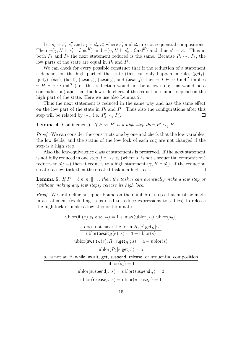Let  $s_1 = s_1$ ;  $s_1''$  and  $s_2 = s_2'$ ;  $s_2''$  where  $s_1'$  and  $s_2'$  are not sequential compositions. Then  $\neg(\gamma, H \vdash s'_1 : \mathsf{Cmd}^H)$  and  $\neg(\gamma, H \vdash s'_2 : \mathsf{Cmd}^H)$  and thus  $s'_1 = s'_2$ . Thus in both  $P_1$  and  $P_2$  the next statement reduced is the same. Because  $P_2 \sim_\gamma P_1$ , the low parts of the state are equal in  $P_2$  and  $P_1$ .

We can check for every possible construct that if the reduction of a statement s depends on the high part of the state (this can only happen in rules ( $get_1$ ), (get<sub>2</sub>), (var), (field), (await<sub>1</sub>), (await<sub>2</sub>), and (await<sub>3</sub>)) then  $\gamma$ ,  $L \vdash s : \mathsf{Cmd}^H$  implies  $\gamma$ ,  $H \vdash s : \mathsf{Cmd}^H$  (i.e. this reduction would not be a low step; this would be a contradiction) and that the low side effect of the reduction cannot depend on the high part of the state. Here we use also Lemma 2.

Thus the next statement is reduced in the same way and has the same effect on the low part of the state in  $P_2$  and  $P_1$ . Thus also the configurations after this step will be related by  $\sim_\gamma$ , i.e.  $P'_2 \sim_\gamma P'_1$ .  $\Box$ 

**Lemma 4** (Confinement). If  $P \rightsquigarrow P'$  is a high step then  $P' \sim_{\gamma} P$ .

Proof. We can consider the constructs one by one and check that the low variables, the low fields, and the status of the low lock of each cog are not changed if the step is a high step.

Also the low-equivalence class of statements is preserved. If the next statement is not fully reduced in one step (i.e.  $s_1$ ;  $s_2$  (where  $s_1$  is not a sequential composition) reduces to  $s_1$ ;  $s_2$ ) then it reduces to a high statement  $(\gamma, H \vdash s_1')$ . If the reduction creates a new task then the created task is a high task.  $\perp$ 

**Lemma 5.** If  $P = b[n, n] \, || \, ...$  then the task n can eventually make a low step or (without making any low steps) release its high lock.

Proof. We first define an upper bound on the number of steps that must be made in a statement (excluding steps used to reduce expressions to values) to release the high lock or make a low step or terminate.

ublor(if (e)  $s_1$  else  $s_2$ ) = 1 + max(ublor( $s_1$ ), ublor( $s_2$ ))

s does not have the form  $R_1[e'.get_H]; s'$ ublor(await $_H(e); s) = 3 + \text{ublor}(s)$ ublor(await<sub>H</sub>(e);  $R_1[e.get_H]; s) = 4 + \text{ublor}(s)$ 

$$
ublor(R_1[e.get_H]) = 5
$$

 $s_1$  is not an if, while, await, get, suspend, release, or sequential composition

$$
ublor(s1) = 1
$$
  
ublor(suspend<sub>H</sub>; s) = ublor(suspend<sub>H</sub>) = 2  
ublor(release<sub>H</sub>; s) = ublor(release<sub>H</sub>) = 1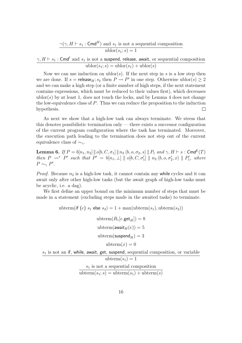$$
\frac{\neg(\gamma, H \vdash s_1 : \mathsf{Cmd}^H) \text{ and } s_1 \text{ is not a sequential composition}}{\text{ublor}(s_1; s) = 1}
$$

 $\gamma, H \vdash s_1 : \mathsf{Cmd}^l$  and  $s_1$  is not a suspend, release, await, or sequential composition  $\text{ublor}(s_1; s) = \text{ublor}(s_1) + \text{ublor}(s)$ 

Now we can use induction on ublor(s). If the next step in s is a low step then we are done. If  $s = \text{release}_H$ ;  $s_2$  then  $P \rightarrow P'$  in one step. Otherwise ublor $(s) \geq 2$ and we can make a high step (or a finite number of high steps, if the next statement contains expressions, which must be reduced to their values first), which decreases ublor(s) by at least 1, does not touch the locks, and by Lemma 4 does not change the low-equivalence class of P. Thus we can reduce the proposition to the induction hypothesis.  $\Box$ 

As next we show that a high-low task can always terminate. We stress that this denotes possibilistic termination only — there exists a successor configuration of the current program configuration where the task has terminated. Moreover, the execution path leading to the termination does not step out of the current equivalence class of  $\sim_{\gamma}$ .

Lemma 6. If  $P = b[n_1, n_2] \| o[b, C, \sigma_1] \| n_2 \langle b, o, \sigma_2, s \rangle \|\, P_1$  and  $\gamma, H \vdash s: \mathsf{Cmd}^L(T)$ then  $P \rightsquigarrow^* P'$  such that  $P' = b[n_1, \perp] || o[b, C, \sigma'_1] || n_2 \langle b, o, \sigma'_2, x \rangle || P'_1$ , where  $P \sim_\gamma P'$ .

*Proof.* Because  $n_2$  is a high-low task, it cannot contain any while cycles and it can await only after other high-low tasks (but the await graph of high-low tasks must be acyclic, i.e. a dag).

We first define an upper bound on the minimum number of steps that must be made in a statement (excluding steps made in the awaited tasks) to terminate.

ubterm(if (e)  $s_1$  else  $s_2$ ) = 1 + max(ubterm( $s_1$ ), ubterm( $s_2$ ))

ubterm $(R_1[e.\text{get}_H]) = 8$ ubterm( $a$ wait $_H(e)$ ) = 5 ubterm( $\textsf{suspend}_H$ ) = 3 ubterm $(x) = 0$ 

 $s<sub>1</sub>$  is not an if, while, await, get, suspend, sequential composition, or variable

ubterm $(s_1) = 1$  $s_1$  is not a sequential composition  $\text{ubterm}(s_1; s) = \text{ubterm}(s_1) + \text{ubterm}(s)$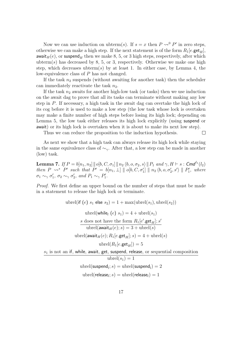Now we can use induction on ubterm(s). If  $s = x$  then  $P \rightsquigarrow^0 P'$  in zero steps, otherwise we can make a high step. If the next statement is of the form  $R_1[e.\text{get}_H]$ , await<sub>H</sub>(e), or suspend<sub>H</sub> then we make 8, 5, or 3 high steps, respectively, after which ubterm(s) has decreased by 8, 5, or 3, respectively. Otherwise we make one high step, which decreases ubterm(s) by at least 1. In either case, by Lemma 4, the low-equivalence class of P has not changed.

If the task  $n_2$  suspends (without awaiting for another task) then the scheduler can immediately reactivate the task  $n_2$ .

If the task  $n_2$  awaits for another high-low task (or tasks) then we use induction on the await dag to prove that all its tasks can terminate without making any low step in  $P$ . If necessary, a high task in the await dag can overtake the high lock of its cog before it is used to make a low step (the low task whose lock is overtaken may make a finite number of high steps before losing its high lock; depending on Lemma 5, the low task either releases its high lock explicitly (using suspend or await) or its high lock is overtaken when it is about to make its next low step).

Thus we can reduce the proposition to the induction hypothesis.

 $\Box$ 

As next we show that a high task can always release its high lock while staying in the same equivalence class of  $\sim_{\gamma}$ . After that, a low step can be made in another (low) task.

**Lemma 7.** If  $P = b[n_1, n_2] || o[b, C, \sigma_1] || n_2 \langle b, o, \sigma_2, s \rangle || P_1$  and  $\gamma, H \vdash s : \mathsf{Cmd}^{l_1}(l_2)$ then  $P \rightsquigarrow^* P'$  such that  $P' = b[n_1, \perp] || o[b, C, \sigma'_1] || n_2 \langle b, o, \sigma'_2, s' \rangle || P'_1$ , where  $\sigma_1 \sim_\gamma \sigma'_1$ ,  $\sigma_2 \sim_\gamma \sigma'_2$ , and  $P_1 \sim_\gamma P'_1$ .

Proof. We first define an upper bound on the number of steps that must be made in a statement to release the high lock or terminate.

where 
$$
(if (e) s_1 \text{ else } s_2) = 1 + \max(\text{ubrel}(s_1), \text{ubrel}(s_2))
$$

\nwhere  $(e) s_1 = 4 + \text{ubrel}(s_1)$ 

\nwhere  $[f(0) s_1] = 4 + \text{ubrel}(s_1)$ 

\nwhere  $[f(0) s_1] = 4 + \text{ubrel}(s_1)$ 

\nwhere  $[f(0) s_1] = 4 + \text{ubrel}(s)$ 

\nwhere  $[f(0) s_1] = 3 + \text{ubrel}(s)$ 

\nwhere  $[f(0) s_1] = 5$ 

\nwhere  $[f(0) s_1] = 5$ 

\nwhere  $[f(0) s_1] = 5$ 

\nwhere  $[f(0) s_1] = 1$ 

\nwhere  $[s_1] = 1$ 

\nwhere  $[s_1] = 1$ 

\nwhere  $[s_1] = 2$ 

\nwhere  $[s_1] = 2$ 

\nwhere  $[s_1] = 2$ 

\nwhere  $[s_1] = 2$ 

\nwhere  $[s_1] = 2$ 

\nwhere  $[s_1] = 2$ 

\nwhere  $[s_1] = 2$ 

\nwhere  $[s_1] = 2$ 

\nwhere  $[s_1] = 2$ 

\nwhere  $[s_1] = 2$ 

\nwhere  $[s_1] = 2$ 

\nwhere  $[s_1] = 2$ 

\nwhere  $[s_1] = 2$ 

\nwhere  $[s_1] = 2$ 

\nwhere  $[s_1] = 2$ 

\nwhere  $[s_1] = 2$ 

\nwhere  $$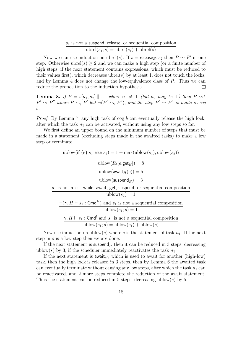$s_1$  is not a suspend, release, or sequential composition  $ubrel(s_1; s) = ubrel(s_1) + ubrel(s)$ 

Now we can use induction on ubrel(s). If  $s =$  release<sub>H</sub>; s<sub>2</sub> then  $P \rightsquigarrow P'$  in one step. Otherwise ubrel(s)  $\geq 2$  and we can make a high step (or a finite number of high steps, if the next statement contains expressions, which must be reduced to their values first), which decreases ubrel(s) by at least 1, does not touch the locks, and by Lemma 4 does not change the low-equivalence class of P. Thus we can reduce the proposition to the induction hypothesis.  $\Box$ 

**Lemma 8.** If  $P = b[n_1, n_2] \parallel ...$  where  $n_1 \neq \perp$  (but  $n_2$  may be  $\perp$ ) then  $P \rightsquigarrow^*$  $P' \rightsquigarrow P''$  where  $P \sim_{\gamma} P'$  but  $\neg (P' \sim_{\gamma} P'')$ , and the step  $P' \rightsquigarrow P''$  is made in cog b.

*Proof.* By Lemma 7, any high task of cog b can eventually release the high lock, after which the task  $n_1$  can be activated, without using any low steps so far.

We first define an upper bound on the minimum number of steps that must be made in a statement (excluding steps made in the awaited tasks) to make a low step or terminate.

ublow(if (e) 
$$
s_1
$$
 else  $s_2$ ) = 1 + max(ublow $(s_1)$ , ublow $(s_2)$ )  
\nublow( $R_1[e.get_H]$ ) = 8  
\nublow(await $H(e)$ ) = 5  
\nublow(suspend $H$ ) = 3  
\n $s_1$  is not an if, while, await, get, suspend, or sequential composition  
\nublow $(s_1)$  = 1  
\n $\neg(\gamma, H \vdash s_1 : \text{Cmd}^H)$  and  $s_1$  is not a sequential composition  
\nublow $(s_1; s)$  = 1  
\n $\gamma, H \vdash s_1 : \text{Cmd}^l$  and  $s_1$  is not a sequential composition  
\nublow $(s_1; s)$  = ublow $(s_1)$  + ublow $(s)$ 

Now use induction on ublow(s) where s is the statement of task  $n_1$ . If the next step in s is a low step then we are done.

If the next statement is suspend<sub>H</sub> then it can be reduced in 3 steps, decreasing ublow(s) by 3, if the scheduler immediately reactivates the task  $n_1$ .

If the next statement is await<sub>H</sub>, which is used to await for another (high-low) task, then the high lock is released in 3 steps, then by Lemma 6 the awaited task can eventually terminate without causing any low steps, after which the task  $n_1$  can be reactivated, and 2 more steps complete the reduction of the await statement. Thus the statement can be reduced in 5 steps, decreasing ublow(s) by 5.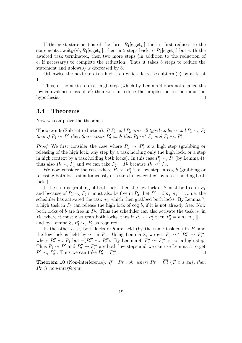If the next statement is of the form  $R_1[e.\text{get}_H]$  then it first reduces to the statements await<sub>H</sub>(e);  $R_1[e \text{.get}_H]$ , then in 5 steps back to  $R_1[e \text{.get}_H]$  but with the awaited task terminated, then two more steps (in addition to the reduction of e, if necessary) to complete the reduction. Thus it takes 8 steps to reduce the statement and ublow $(s)$  is decreased by 8.

Otherwise the next step is a high step which decreases ubterm(s) by at least 1.

Thus, if the next step is a high step (which by Lemma 4 does not change the low-equivalence class of  $P$ ) then we can reduce the proposition to the induction hypothesis.  $\Box$ 

#### 3.4 Theorems

Now we can prove the theorems.

**Theorem 9** (Subject reduction). If  $P_1$  and  $P_2$  are well typed under  $\gamma$  and  $P_1 \sim_{\gamma} P_2$ then if  $P_1 \rightsquigarrow P'_1$  then there exists  $P'_2$  such that  $P_2 \rightsquigarrow^* P'_2$  and  $P'_1 \sim_\gamma P'_2$ .

*Proof.* We first consider the case where  $P_1 \rightarrow P_1'$  is a high step (grabbing or releasing of the high lock, any step by a task holding only the high lock, or a step in high context by a task holding both locks). In this case  $P'_1 \sim_\gamma P_1$  (by Lemma 4), thus also  $P_2 \sim_\gamma P'_1$  and we can take  $P'_2 = P_2$  because  $P_2 \rightsquigarrow^0 P'_2$ .

We now consider the case where  $P_1 \leadsto P'_1$  is a low step in cog b (grabbing or releasing both locks simultaneously or a step in low context by a task holding both locks).

If the step is grabbing of both locks then the low lock of b must be free in  $P_1$ and because of  $P_1 \sim_\gamma P_2$  it must also be free in  $P_2$ . Let  $P'_1 = b[n_1, n_1] \parallel \ldots$ , i.e. the scheduler has activated the task  $n_1$ , which then grabbed both locks. By Lemma 7, a high task in  $P_2$  can release the high lock of cog b, if it is not already free. Now both locks of b are free in  $P_2$ . Thus the scheduler can also activate the task  $n_1$  in  $P_2$ , where it must also grab both locks, thus if  $P_2 \rightsquigarrow P'_2$  then  $P'_2 = b[n_1, n_1] \parallel \dots$ and by Lemma 3,  $P'_2 \sim_\gamma P'_1$  as required.

In the other case, both locks of b are held (by the same task  $n_1$ ) in  $P_1$  and the low lock is held by  $n_1$  in  $P_2$ . Using Lemma 8, we get  $P_2 \rightarrow^* P_2'' \rightarrow P_2'''$ , where  $P_2'' \sim_\gamma P_1$  but  $\neg (P_2'''' \sim_\gamma P_2'')$ . By Lemma 4,  $P_2'' \sim P_2'''$  is not a high step. Thus  $P_1 \rightsquigarrow P_1'$  and  $P_2'' \rightsquigarrow P_2'''$  are both low steps and we can use Lemma 3 to get  $P'_1 \sim_\gamma P''_2$ . Thus we can take  $P'_2 = P'''_2$ .

**Theorem 10** (Non-interference). If  $\vdash Pr : ok$ , where  $Pr = \overline{Cl} \{ \overline{T} \overline{x} \ s; x_0 \}$ , then Pr is non-interferent.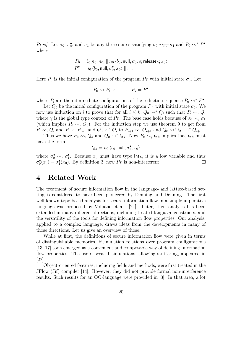Proof. Let  $\sigma_0$ ,  $\sigma_0^{\bullet}$ , and  $\sigma_1$  be any three states satisfying  $\sigma_0 \sim_{\overline{x}} \sigma_1$  and  $P_0 \leadsto^* P^{\bullet}$ where

$$
P_0 = b_0[n_0, n_0] || n_0 \langle b_0, \text{null}, \sigma_0, s; \text{release}_L; x_0 \rangle
$$
  

$$
P^{\bullet} = n_0 \langle b_0, \text{null}, \sigma_0^{\bullet}, x_0 \rangle || \dots
$$

Here  $P_0$  is the initial configuration of the program Pr with initial state  $\sigma_0$ . Let

$$
P_0 \leadsto P_1 \leadsto \ldots \leadsto P_k = P^{\bullet}
$$

where  $P_i$  are the intermediate configurations of the reduction sequence  $P_0 \rightarrow P^{\bullet}$ .

Let  $Q_0$  be the initial configuration of the program Pr with initial state  $\sigma_0$ . We now use induction on i to prove that for all  $i \leq k$ ,  $Q_0 \leadsto^* Q_i$  such that  $P_i \sim_\gamma Q_i$ where  $\gamma$  is the global type context of Pr. The base case holds because of  $\sigma_0 \sim_{\gamma} \sigma_1$ (which implies  $P_0 \sim_{\gamma} Q_0$ ). For the induction step we use theorem 9 to get from  $P_i \sim_\gamma Q_i$  and  $P_i \rightsquigarrow P_{i+1}$  and  $Q_0 \rightsquigarrow^* Q_i$  to  $P_{i+1} \sim_\gamma Q_{i+1}$  and  $Q_0 \rightsquigarrow^* Q_i \rightsquigarrow^* Q_{i+1}$ .

Thus we have  $P_k \sim_{\gamma} Q_k$  and  $Q_0 \leadsto^* Q_k$ . Now  $P_k \sim_{\gamma} Q_k$  implies that  $Q_k$  must have the form

$$
Q_k = n_0 \langle b_0, \text{null}, \sigma_1^{\bullet}, x_0 \rangle \parallel \ldots
$$

where  $\sigma_0^{\bullet} \sim_{\gamma} \sigma_1^{\bullet}$ . Because  $x_0$  must have type  $\mathsf{Int}_L$ , it is a low variable and thus  $\sigma_0^{\bullet}(x_0) = \sigma_1^{\bullet}(x_0)$ . By definition 3, now Pr is non-interferent.  $\Box$ 

#### 4 Related Work

The treatment of secure information flow in the language- and lattice-based setting is considered to have been pioneered by Denning and Denning. The first well-known type-based analysis for secure information flow in a simple imperative language was proposed by Volpano et al. [24]. Later, their analysis has been extended in many different directions, including treated language constructs, and the versatility of the tools for defining information flow properties. Our analysis, applied to a complex language, draws ideas from the developments in many of those directions. Let us give an overview of those.

While at first, the definitions of secure information flow were given in terms of distinguishable memories, bisimulation relations over program configurations [13, 17] soon emerged as a convenient and composable way of defining information flow properties. The use of weak bisimulations, allowing stuttering, appeared in [22].

Object-oriented features, including fields and methods, were first treated in the JFlow (Jif) compiler [14]. However, they did not provide formal non-interference results. Such results for an OO-language were provided in [3]. In that area, a lot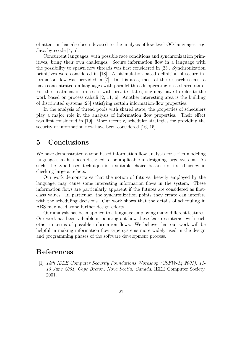of attention has also been devoted to the analysis of low-level OO-languages, e.g. Java bytecode [4, 5].

Concurrent languages, with possible race conditions and synchronization primitives, bring their own challenges. Secure information flow in a language with the possibility to spawn new threads was first considered in [23]. Synchronization primitives were considered in [18]. A bisimulation-based definition of secure information flow was provided in [7]. In this area, most of the research seems to have concentrated on languages with parallel threads operating on a shared state. For the treatment of processes with private states, one may have to refer to the work based on process calculi [2, 11, 6]. Another interesting area is the building of distributed systems [25] satisfying certain information-flow properties.

In the analysis of thread pools with shared state, the properties of schedulers play a major role in the analysis of information flow properties. Their effect was first considered in [19]. More recently, scheduler strategies for providing the security of information flow have been considered [16, 15].

## 5 Conclusions

We have demonstrated a type-based information flow analysis for a rich modeling language that has been designed to be applicable in designing large systems. As such, the type-based technique is a suitable choice because of its efficiency in checking large artefacts.

Our work demonstrates that the notion of futures, heavily employed by the language, may cause some interesting information flows in the system. These information flows are particularly apparent if the futures are considered as firstclass values. In particular, the synchronization points they create can interfere with the scheduling decisions. Our work shows that the details of scheduling in ABS may need some further design efforts.

Our analysis has been applied to a language employing many different features. Our work has been valuable in pointing out how these features interact with each other in terms of possible information flows. We believe that our work will be helpful in making information flow type systems more widely used in the design and programming phases of the software development process.

### References

[1] 14th IEEE Computer Security Foundations Workshop (CSFW-14 2001), 11- 13 June 2001, Cape Breton, Nova Scotia, Canada. IEEE Computer Society, 2001.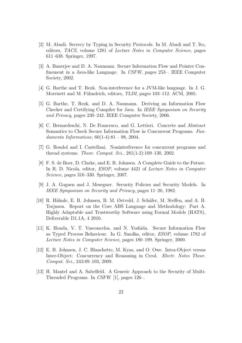- [2] M. Abadi. Secrecy by Typing in Security Protocols. In M. Abadi and T. Ito, editors, TACS, volume 1281 of Lecture Notes in Computer Science, pages 611–638. Springer, 1997.
- [3] A. Banerjee and D. A. Naumann. Secure Information Flow and Pointer Confinement in a Java-like Language. In CSFW, pages 253–. IEEE Computer Society, 2002.
- [4] G. Barthe and T. Rezk. Non-interference for a JVM-like language. In J. G. Morrisett and M. Fähndrich, editors, *TLDI*, pages 103–112. ACM, 2005.
- [5] G. Barthe, T. Rezk, and D. A. Naumann. Deriving an Information Flow Checker and Certifying Compiler for Java. In IEEE Symposium on Security and Privacy, pages 230–242. IEEE Computer Society, 2006.
- [6] C. Bernardeschi, N. De Francesco, and G. Lettieri. Concrete and Abstract Semantics to Check Secure Information Flow in Concurrent Programs. Fundamenta Informaticae,  $60(1-4):81 - 98$ , 2004.
- [7] G. Boudol and I. Castellani. Noninterference for concurrent programs and thread systems. Theor. Comput. Sci., 281(1-2):109–130, 2002.
- [8] F. S. de Boer, D. Clarke, and E. B. Johnsen. A Complete Guide to the Future. In R. D. Nicola, editor, ESOP, volume 4421 of Lecture Notes in Computer Science, pages 316–330. Springer, 2007.
- [9] J. A. Goguen and J. Meseguer. Security Policies and Security Models. In IEEE Symposium on Security and Privacy, pages 11–20, 1982.
- [10] R. Hähnle, E. B. Johnsen, B. M. Østvold, J. Schäfer, M. Steffen, and A. B. Torjusen. Report on the Core ABS Language and Methodology: Part A. Highly Adaptable and Trustworthy Software using Formal Models (HATS), Deliverable D1.1A, 4 2010.
- [11] K. Honda, V. T. Vasconcelos, and N. Yoshida. Secure Information Flow as Typed Process Behaviour. In G. Smolka, editor, ESOP, volume 1782 of Lecture Notes in Computer Science, pages 180–199. Springer, 2000.
- [12] E. B. Johnsen, J. C. Blanchette, M. Kyas, and O. Owe. Intra-Object versus Inter-Object: Concurrency and Reasoning in Creol. Electr. Notes Theor. Comput. Sci., 243:89–103, 2009.
- [13] H. Mantel and A. Sabelfeld. A Generic Approach to the Security of Multi-Threaded Programs. In CSFW [1], pages 126–.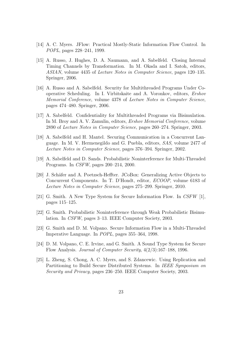- [14] A. C. Myers. JFlow: Practical Mostly-Static Information Flow Control. In POPL, pages 228–241, 1999.
- [15] A. Russo, J. Hughes, D. A. Naumann, and A. Sabelfeld. Closing Internal Timing Channels by Transformation. In M. Okada and I. Satoh, editors, ASIAN, volume 4435 of Lecture Notes in Computer Science, pages 120–135. Springer, 2006.
- [16] A. Russo and A. Sabelfeld. Security for Multithreaded Programs Under Cooperative Scheduling. In I. Virbitskaite and A. Voronkov, editors, Ershov Memorial Conference, volume 4378 of Lecture Notes in Computer Science, pages 474–480. Springer, 2006.
- [17] A. Sabelfeld. Confidentiality for Multithreaded Programs via Bisimulation. In M. Broy and A. V. Zamulin, editors, Ershov Memorial Conference, volume 2890 of Lecture Notes in Computer Science, pages 260–274. Springer, 2003.
- [18] A. Sabelfeld and H. Mantel. Securing Communication in a Concurrent Language. In M. V. Hermenegildo and G. Puebla, editors, SAS, volume 2477 of Lecture Notes in Computer Science, pages 376–394. Springer, 2002.
- [19] A. Sabelfeld and D. Sands. Probabilistic Noninterference for Multi-Threaded Programs. In CSFW, pages 200–214, 2000.
- [20] J. Schäfer and A. Poetzsch-Heffter. JCoBox: Generalizing Active Objects to Concurrent Components. In T. D'Hondt, editor, ECOOP, volume 6183 of Lecture Notes in Computer Science, pages 275–299. Springer, 2010.
- [21] G. Smith. A New Type System for Secure Information Flow. In CSFW [1], pages 115–125.
- [22] G. Smith. Probabilistic Noninterference through Weak Probabilistic Bisimulation. In CSFW, pages 3–13. IEEE Computer Society, 2003.
- [23] G. Smith and D. M. Volpano. Secure Information Flow in a Multi-Threaded Imperative Language. In POPL, pages 355–364, 1998.
- [24] D. M. Volpano, C. E. Irvine, and G. Smith. A Sound Type System for Secure Flow Analysis. Journal of Computer Security, 4(2/3):167–188, 1996.
- [25] L. Zheng, S. Chong, A. C. Myers, and S. Zdancewic. Using Replication and Partitioning to Build Secure Distributed Systems. In IEEE Symposium on Security and Privacy, pages 236–250. IEEE Computer Society, 2003.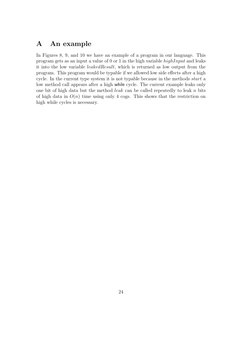## A An example

In Figures 8, 9, and 10 we have an example of a program in our language. This program gets as an input a value of 0 or 1 in the high variable  $highInput$  and leaks it into the low variable leakedResult, which is returned as low output from the program. This program would be typable if we allowed low side effects after a high cycle. In the current type system it is not typable because in the methods start a low method call appears after a high while cycle. The current example leaks only one bit of high data but the method *leak* can be called repeatedly to leak  $n$  bits of high data in  $O(n)$  time using only 4 cogs. This shows that the restriction on high while cycles is necessary.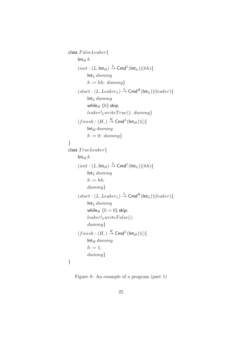```
class FalseLeader{
      \ln t_H h(int : (L, \mathsf{Int}_H) \stackrel{L}{\rightarrow} \mathsf{Cmd}^L(\mathsf{Int}_L))(hh)Int_L dummy
             h := hh; \; dummy(start:(L,Leaker_L) \stackrel{L}{\rightarrow} \mathsf{Cmd}^H(\mathsf{Int}_L))(leaker){
             Int_L dummy
             while<sub>H</sub> (h) skip;
             leaker!_LwriteTrue(); dummy\}(finish:(H,)\stackrel{H}{\rightarrow} \mathsf{Cmd}^L(\mathsf{Int}_H))()\{Int_H dummy
             h := 0; dummy
}
class TrueLeader\ln t_H h(int : (L, \mathsf{Int}_H) \stackrel{L}{\rightarrow} \mathsf{Cmd}^L(\mathsf{Int}_L))(hh)Int_L dummy
             h := hh;dummy}
       (start:(L,Leaker_L) \stackrel{L}{\rightarrow} \mathsf{Cmd}^H(\mathsf{Int}_L))(leaker){
             Int_L dummy
             while<sub>H</sub> (h = 0) skip;
             leaker!_LwriteFalse();dummy}
       (finish:(H,)\stackrel{H}{\rightarrow} \mathsf{Cmd}^L(\mathsf{Int}_H))()\{Int_H dummy
             h := 1;
             dummy}
}
```
Figure 8: An example of a program (part 1)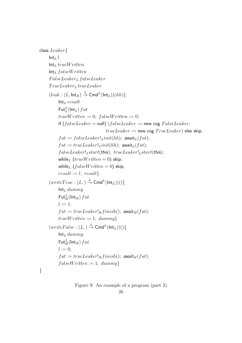```
class Leaker{
     \ln t_L lInt_L true WrittenInt_L falseWritenFalseLeader_L falseLeaderTrueLeader_L trueLeader(leak: (L, Int_H) \stackrel{L}{\rightarrow} \mathsf{Cmd}^L(\mathsf{Int}_L))(hh)Int_L result\mathsf{Fut}_L^L(\mathsf{Int}_L)\, futtrueWriter := 0; falseWriter := 0;if (falseLeaker = null) (falseLeaker := new cog FalseLeader;
                                        trueLeader := new \text{ cog } TrueLeader else skip;
           fut := falseLeader!_Limit(hh); await_L(fut);fut := trueLeader!_Limit(hh); await_L(fut);falseLeader!_Lstart(this); trueLeaker!_Lstart(this);while<sub>L</sub> (trueWritten = 0) skip;
           while<sub>L</sub> (falseWritten = 0) skip;
           result := l; result}
      (writeTrue: (L,) \overset{L}{\rightarrow} \mathsf{Cmd}^L(\mathsf{Int}_L))()\{Int_L dummy
           \mathsf{Fut}_H^L(\mathsf{Int}_H) \, futl := 1;
           fut := trueLeader!_H finish(); await_H(fut);
           trueWriter := 1; \; dummy(writeFalse: (L,) \stackrel{L}{\rightarrow} \mathsf{Cmd}^L(\mathsf{Int}_L))()\{Int_L dummy
           \mathsf{Fut}_H^L(\mathsf{Int}_H) \, futl := 0;fut := trueLeaker!_H finish(); await<sub>H</sub>(fut);
           falseWriten := 1; dummy}
```
Figure 9: An example of a program (part 2)